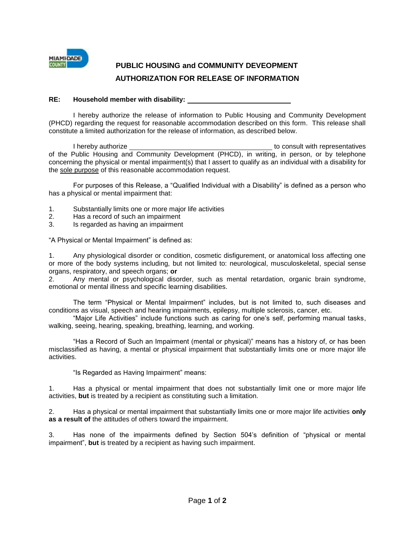

## **PUBLIC HOUSING and COMMUNITY DEVEOPMENT AUTHORIZATION FOR RELEASE OF INFORMATION**

## **RE: Household member with disability:**

I hereby authorize the release of information to Public Housing and Community Development (PHCD) regarding the request for reasonable accommodation described on this form. This release shall constitute a limited authorization for the release of information, as described below.

I hereby authorize to consult with representatives of the Public Housing and Community Development (PHCD), in writing, in person, or by telephone concerning the physical or mental impairment(s) that I assert to qualify as an individual with a disability for the sole purpose of this reasonable accommodation request.

For purposes of this Release, a "Qualified Individual with a Disability" is defined as a person who has a physical or mental impairment that:

- 1. Substantially limits one or more major life activities
- 2. Has a record of such an impairment
- 3. Is regarded as having an impairment

"A Physical or Mental Impairment" is defined as:

1. Any physiological disorder or condition, cosmetic disfigurement, or anatomical loss affecting one or more of the body systems including, but not limited to: neurological, musculoskeletal, special sense organs, respiratory, and speech organs; **or**

2. Any mental or psychological disorder, such as mental retardation, organic brain syndrome, emotional or mental illness and specific learning disabilities.

The term "Physical or Mental Impairment" includes, but is not limited to, such diseases and conditions as visual, speech and hearing impairments, epilepsy, multiple sclerosis, cancer, etc.

"Major Life Activities" include functions such as caring for one's self, performing manual tasks, walking, seeing, hearing, speaking, breathing, learning, and working.

"Has a Record of Such an Impairment (mental or physical)" means has a history of, or has been misclassified as having, a mental or physical impairment that substantially limits one or more major life activities.

"Is Regarded as Having Impairment" means:

1. Has a physical or mental impairment that does not substantially limit one or more major life activities, **but** is treated by a recipient as constituting such a limitation.

2. Has a physical or mental impairment that substantially limits one or more major life activities **only as a result of** the attitudes of others toward the impairment.

3. Has none of the impairments defined by Section 504's definition of "physical or mental impairment", **but** is treated by a recipient as having such impairment.